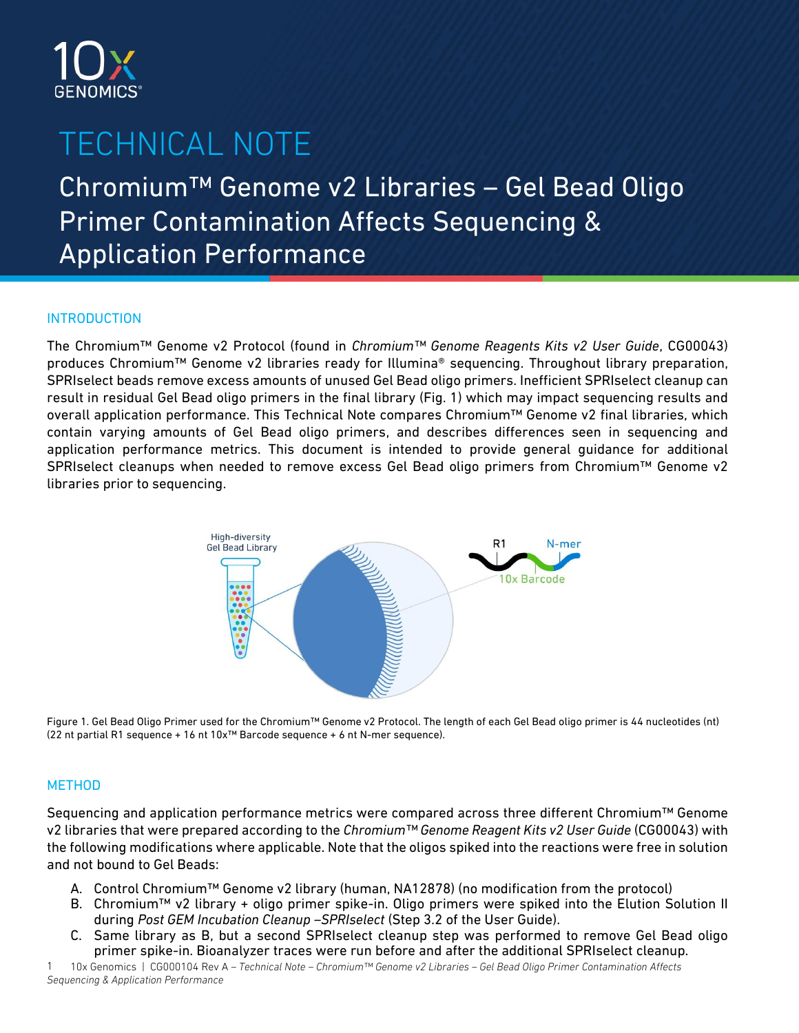

# TECHNICAL NOTE

Chromium™ Genome v2 Libraries – Gel Bead Oligo Primer Contamination Affects Sequencing & Application Performance

## **INTRODUCTION**

The Chromium™ Genome v2 Protocol (found in *Chromium™ Genome Reagents Kits v2 User Guide*, CG00043) produces Chromium™ Genome v2 libraries ready for Illumina® sequencing. Throughout library preparation, SPRIselect beads remove excess amounts of unused Gel Bead oligo primers. Inefficient SPRIselect cleanup can result in residual Gel Bead oligo primers in the final library (Fig. 1) which may impact sequencing results and overall application performance. This Technical Note compares Chromium™ Genome v2 final libraries, which contain varying amounts of Gel Bead oligo primers, and describes differences seen in sequencing and application performance metrics. This document is intended to provide general guidance for additional SPRIselect cleanups when needed to remove excess Gel Bead oligo primers from Chromium™ Genome v2 libraries prior to sequencing.



Figure 1. Gel Bead Oligo Primer used for the Chromium™ Genome v2 Protocol. The length of each Gel Bead oligo primer is 44 nucleotides (nt) (22 nt partial R1 sequence + 16 nt 10x™ Barcode sequence + 6 nt N-mer sequence).

## **METHOD**

Sequencing and application performance metrics were compared across three different Chromium™ Genome v2 libraries that were prepared according to the *Chromium™ Genome Reagent Kits v2 User Guide* (CG00043) with the following modifications where applicable. Note that the oligos spiked into the reactions were free in solution and not bound to Gel Beads:

- A. Control Chromium™ Genome v2 library (human, NA12878) (no modification from the protocol)
- B. Chromium™ v2 library + oligo primer spike-in. Oligo primers were spiked into the Elution Solution II during *Post GEM Incubation Cleanup –SPRIselect* (Step 3.2 of the User Guide).
- C. Same library as B, but a second SPRIselect cleanup step was performed to remove Gel Bead oligo primer spike-in. Bioanalyzer traces were run before and after the additional SPRIselect cleanup.

10x Genomics | CG000104 Rev A *– Technical Note – Chromium™ Genome v2 Libraries – Gel Bead Oligo Primer Contamination Affects Sequencing & Application Performance* 1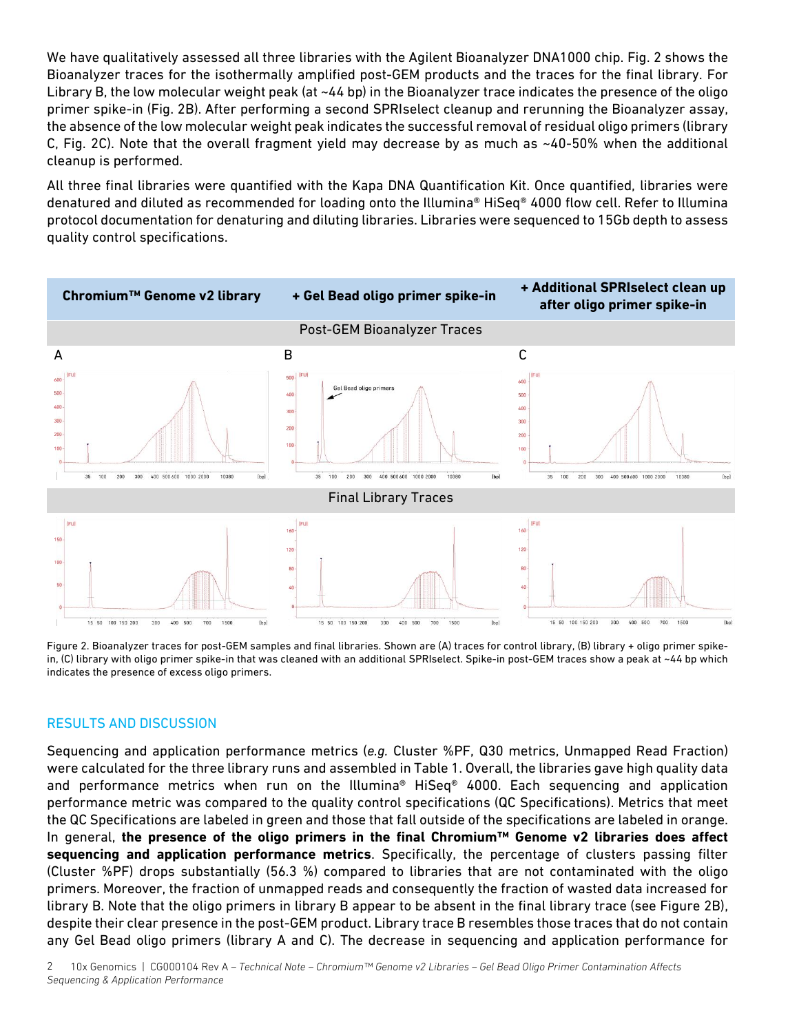We have qualitatively assessed all three libraries with the Agilent Bioanalyzer DNA1000 chip. Fig. 2 shows the Bioanalyzer traces for the isothermally amplified post-GEM products and the traces for the final library. For Library B, the low molecular weight peak (at ~44 bp) in the Bioanalyzer trace indicates the presence of the oligo primer spike-in (Fig. 2B). After performing a second SPRIselect cleanup and rerunning the Bioanalyzer assay, the absence of the low molecular weight peak indicates the successful removal of residual oligo primers (library C, Fig. 2C). Note that the overall fragment yield may decrease by as much as ~40-50% when the additional cleanup is performed.

All three final libraries were quantified with the Kapa DNA Quantification Kit. Once quantified, libraries were denatured and diluted as recommended for loading onto the Illumina® HiSeq® 4000 flow cell. Refer to Illumina protocol documentation for denaturing and diluting libraries. Libraries were sequenced to 15Gb depth to assess quality control specifications.



Figure 2. Bioanalyzer traces for post-GEM samples and final libraries. Shown are (A) traces for control library, (B) library + oligo primer spikein, (C) library with oligo primer spike-in that was cleaned with an additional SPRIselect. Spike-in post-GEM traces show a peak at ~44 bp which indicates the presence of excess oligo primers.

#### RESULTS AND DISCUSSION

Sequencing and application performance metrics (*e.g.* Cluster %PF, Q30 metrics, Unmapped Read Fraction) were calculated for the three library runs and assembled in Table 1. Overall, the libraries gave high quality data and performance metrics when run on the Illumina® HiSeq® 4000. Each sequencing and application performance metric was compared to the quality control specifications (QC Specifications). Metrics that meet the QC Specifications are labeled in green and those that fall outside of the specifications are labeled in orange. In general, **the presence of the oligo primers in the final Chromium™ Genome v2 libraries does affect sequencing and application performance metrics**. Specifically, the percentage of clusters passing filter (Cluster %PF) drops substantially (56.3 %) compared to libraries that are not contaminated with the oligo primers. Moreover, the fraction of unmapped reads and consequently the fraction of wasted data increased for library B. Note that the oligo primers in library B appear to be absent in the final library trace (see Figure 2B), despite their clear presence in the post-GEM product. Library trace B resembles those traces that do not contain any Gel Bead oligo primers (library A and C). The decrease in sequencing and application performance for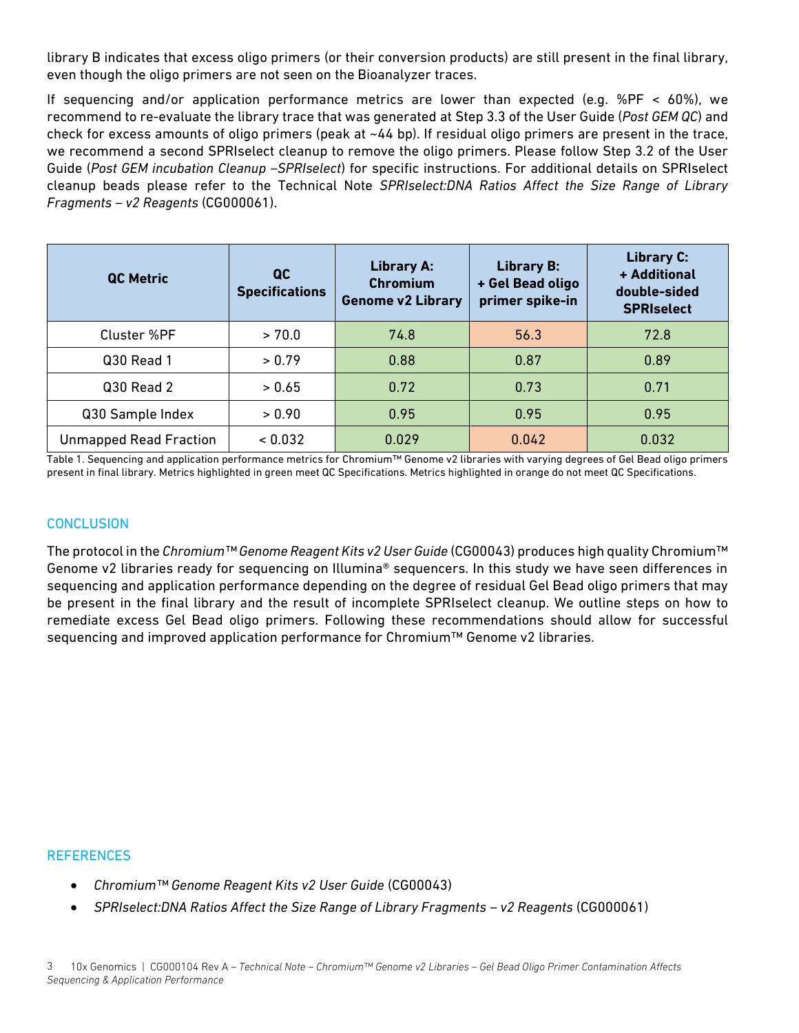library B indicates that excess oligo primers (or their conversion products) are still present in the final library, even though the oligo primers are not seen on the Bioanalyzer traces.

If sequencing and/or application performance metrics are lower than expected (e.g. %PF  $\lt$  60%), we recommend to re-evaluate the library trace that was generated at Step 3.3 of the User Guide (*Post GEM QC*) and check for excess amounts of oligo primers (peak at ~44 bp). If residual oligo primers are present in the trace, we recommend a second SPRIselect cleanup to remove the oligo primers. Please follow Step 3.2 of the User Guide (*Post GEM incubation Cleanup –SPRIselect*) for specific instructions. For additional details on SPRIselect cleanup beads please refer to the Technical Note *SPRIselect:DNA Ratios Affect the Size Range of Library Fragments – v2 Reagents* (CG000061).

| <b>QC Metric</b>              | $\overline{a}$<br><b>Specifications</b> | <b>Library A:</b><br><b>Chromium</b><br><b>Genome v2 Library</b> | <b>Library B:</b><br>+ Gel Bead oligo<br>primer spike-in | <b>Library C:</b><br>+ Additional<br>double-sided<br><b>SPRIselect</b> |
|-------------------------------|-----------------------------------------|------------------------------------------------------------------|----------------------------------------------------------|------------------------------------------------------------------------|
| Cluster %PF                   | > 70.0                                  | 74.8                                                             | 56.3                                                     | 72.8                                                                   |
| Q30 Read 1                    | > 0.79                                  | 0.88                                                             | 0.87                                                     | 0.89                                                                   |
| Q30 Read 2                    | > 0.65                                  | 0.72                                                             | 0.73                                                     | 0.71                                                                   |
| Q30 Sample Index              | > 0.90                                  | 0.95                                                             | 0.95                                                     | 0.95                                                                   |
| <b>Unmapped Read Fraction</b> | < 0.032                                 | 0.029                                                            | 0.042                                                    | 0.032                                                                  |

Table 1. Sequencing and application performance metrics for Chromium™ Genome v2 libraries with varying degrees of Gel Bead oligo primers present in final library. Metrics highlighted in green meet QC Specifications. Metrics highlighted in orange do not meet QC Specifications.

#### **CONCLUSION**

The protocol in the *Chromium™ Genome Reagent Kits v2 User Guide* (CG00043) produces high quality Chromium™ Genome v2 libraries ready for sequencing on Illumina® sequencers. In this study we have seen differences in sequencing and application performance depending on the degree of residual Gel Bead oligo primers that may be present in the final library and the result of incomplete SPRIselect cleanup. We outline steps on how to remediate excess Gel Bead oligo primers. Following these recommendations should allow for successful sequencing and improved application performance for Chromium™ Genome v2 libraries.

#### **REFERENCES**

- *Chromium™ Genome Reagent Kits v2 User Guide* (CG00043)
- *SPRIselect:DNA Ratios Affect the Size Range of Library Fragments – v2 Reagents* (CG000061)